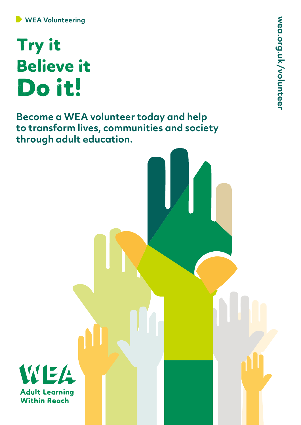## Try it Believe it Do it!

**Become a WEA volunteer today and help to transform lives, communities and society through adult education.**

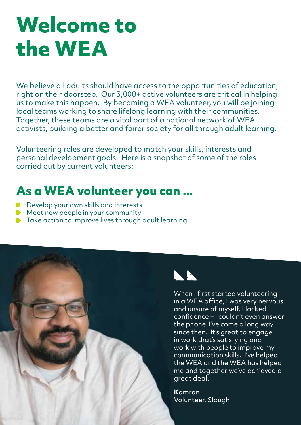# **Welcome to the WEA**

We believe all adults should have access to the opportunities of education, right on their doorstep. Our 3,000+ active volunteers are critical in helping us to make this happen. By becoming a WEA volunteer, you will be joining local teams working to share lifelong learning with their communities. Together, these teams are a vital part of a national network of WEA activists, building a better and fairer society for all through adult learning.

Volunteering roles are developed to match your skills, interests and personal development goals. Here is a snapshot of some of the roles carried out by current volunteers:

### **As a WEA volunteer you can ...**

- Develop your own skills and interests
- $\blacktriangleright$  Meet new people in your community
- ▶ Take action to improve lives through adult learning





When I first started volunteering in a WEA office, I was very nervous and unsure of myself. I lacked confidence – I couldn't even answer the phone I've come a long way since then. It's great to engage in work that's satisfying and work with people to improve my communication skills. I've helped the WEA and the WEA has helped me and together we've achieved a great deal.

**Kamran**  Volunteer, Slough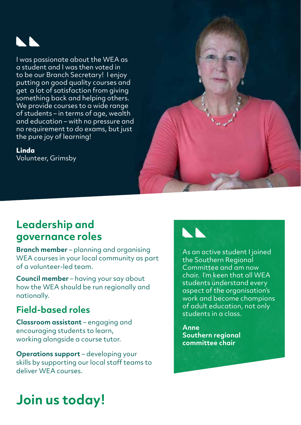

I was passionate about the WEA as a student and I was then voted in to be our Branch Secretary! I enjoy putting on good quality courses and get a lot of satisfaction from giving something back and helping others. We provide courses to a wide range of students – in terms of age, wealth and education – with no pressure and no requirement to do exams, but just the pure joy of learning!

**Linda** 

Volunteer, Grimsby



**Branch member** – planning and organising WEA courses in your local community as part of a volunteer-led team.

**Council member** – having your say about how the WEA should be run regionally and nationally.

#### **Field-based roles**

**Classroom assistant** – engaging and encouraging students to learn, working alongside a course tutor.

**Operations support** – developing your skills by supporting our local staff teams to deliver WEA courses.



As an active student I joined the Southern Regional Committee and am now chair. I'm keen that all WEA students understand every aspect of the organisation's work and become champions of adult education, not only students in a class.

**Anne Southern regional committee chair**

### **Join us today!**